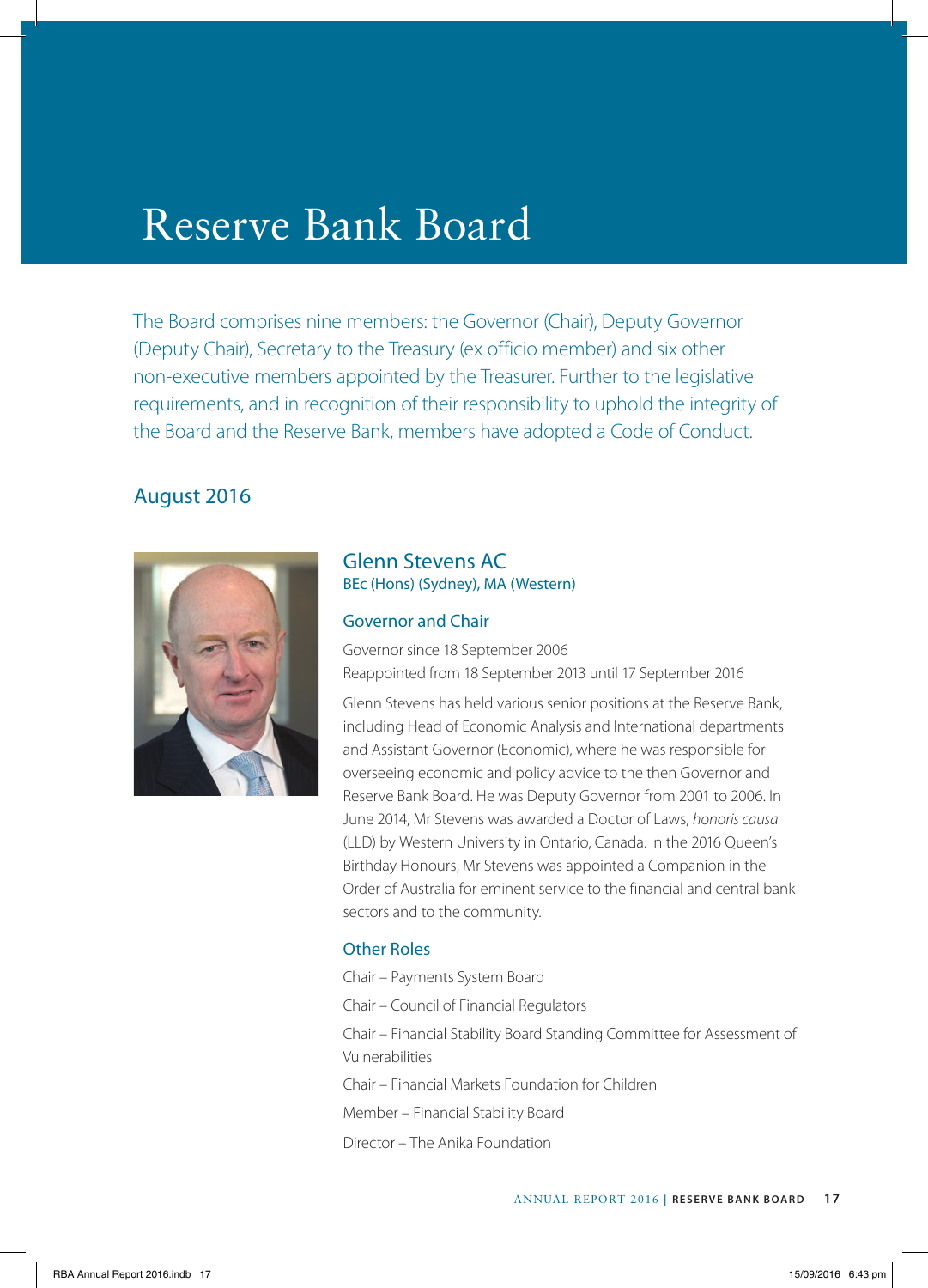# Reserve Bank Board

The Board comprises nine members: the Governor (Chair), Deputy Governor (Deputy Chair), Secretary to the Treasury (ex officio member) and six other non-executive members appointed by the Treasurer. Further to the legislative requirements, and in recognition of their responsibility to uphold the integrity of the Board and the Reserve Bank, members have adopted a Code of Conduct.

# August 2016



## Glenn Stevens AC BEc (Hons) (Sydney), MA (Western)

#### Governor and Chair

Governor since 18 September 2006 Reappointed from 18 September 2013 until 17 September 2016

Glenn Stevens has held various senior positions at the Reserve Bank, including Head of Economic Analysis and International departments and Assistant Governor (Economic), where he was responsible for overseeing economic and policy advice to the then Governor and Reserve Bank Board. He was Deputy Governor from 2001 to 2006. In June 2014, Mr Stevens was awarded a Doctor of Laws, *honoris causa* (LLD) by Western University in Ontario, Canada. In the 2016 Queen's Birthday Honours, Mr Stevens was appointed a Companion in the Order of Australia for eminent service to the financial and central bank sectors and to the community.

## Other Roles

Chair – Payments System Board

Chair – Council of Financial Regulators

Chair – Financial Stability Board Standing Committee for Assessment of Vulnerabilities

Chair – Financial Markets Foundation for Children

Member – Financial Stability Board

Director – The Anika Foundation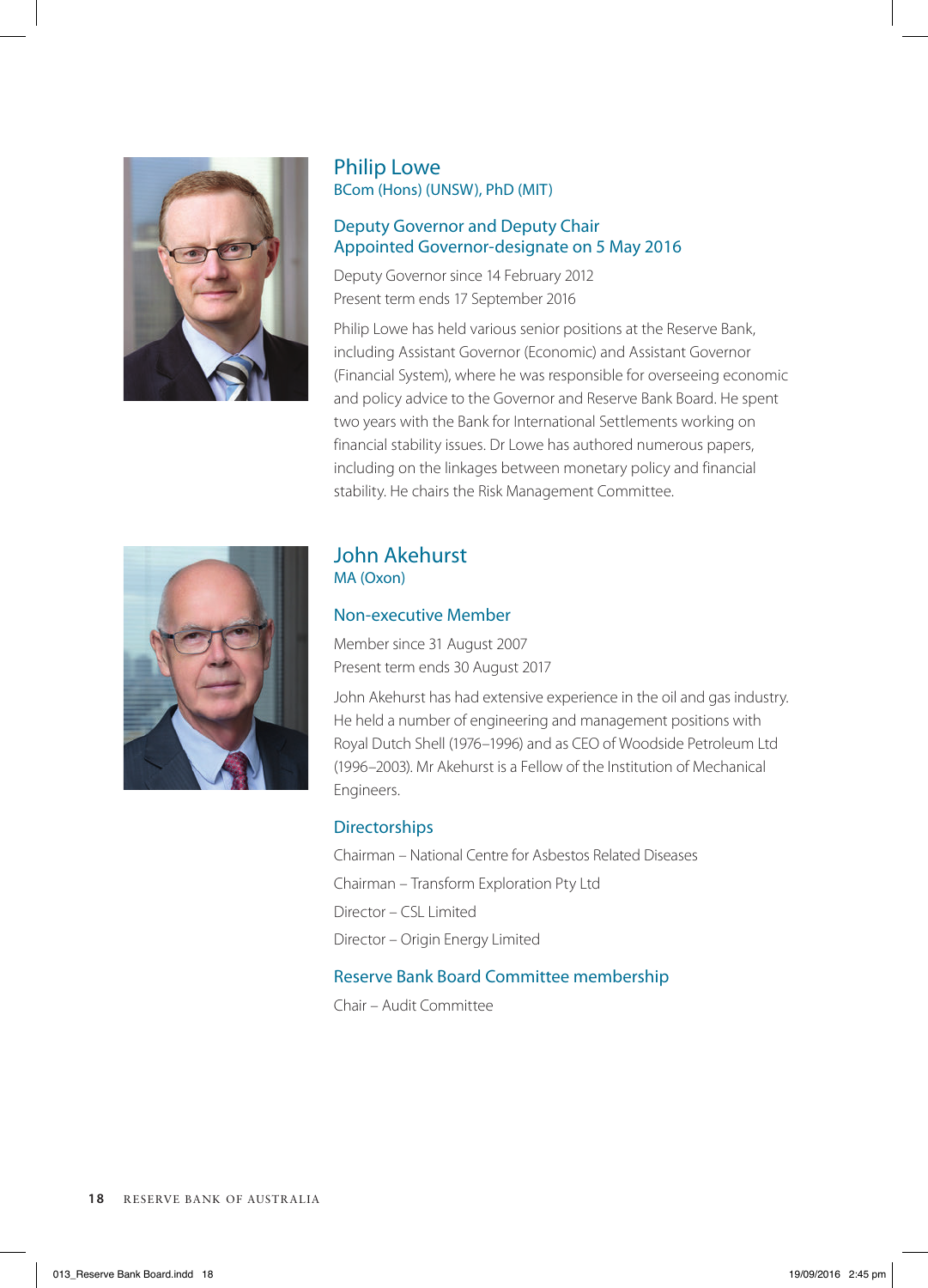

## Philip Lowe BCom (Hons) (UNSW), PhD (MIT)

#### Deputy Governor and Deputy Chair Appointed Governor-designate on 5 May 2016

Deputy Governor since 14 February 2012 Present term ends 17 September 2016

Philip Lowe has held various senior positions at the Reserve Bank, including Assistant Governor (Economic) and Assistant Governor (Financial System), where he was responsible for overseeing economic and policy advice to the Governor and Reserve Bank Board. He spent two years with the Bank for International Settlements working on financial stability issues. Dr Lowe has authored numerous papers, including on the linkages between monetary policy and financial stability. He chairs the Risk Management Committee.



# John Akehurst MA (Oxon)

## Non-executive Member

Member since 31 August 2007 Present term ends 30 August 2017

John Akehurst has had extensive experience in the oil and gas industry. He held a number of engineering and management positions with Royal Dutch Shell (1976–1996) and as CEO of Woodside Petroleum Ltd (1996–2003). Mr Akehurst is a Fellow of the Institution of Mechanical Engineers.

## **Directorships**

Chairman – National Centre for Asbestos Related Diseases Chairman – Transform Exploration Pty Ltd Director – CSL Limited Director – Origin Energy Limited

## Reserve Bank Board Committee membership

Chair – Audit Committee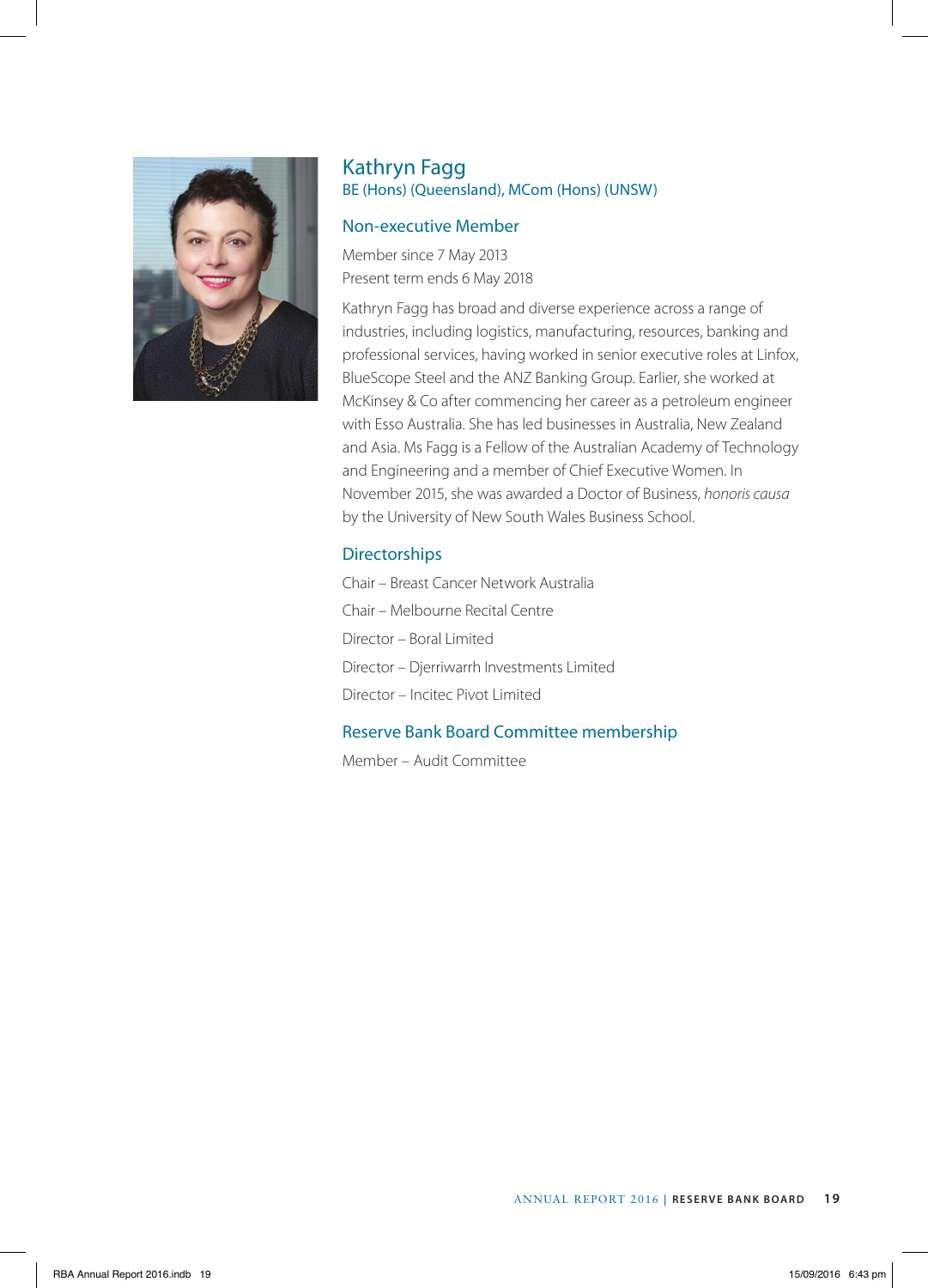

## Kathryn Fagg BE (Hons) (Queensland), MCom (Hons) (UNSW)

#### Non-executive Member

Member since 7 May 2013 Present term ends 6 May 2018

Kathryn Fagg has broad and diverse experience across a range of industries, including logistics, manufacturing, resources, banking and professional services, having worked in senior executive roles at Linfox, BlueScope Steel and the ANZ Banking Group. Earlier, she worked at McKinsey & Co after commencing her career as a petroleum engineer with Esso Australia. She has led businesses in Australia, New Zealand and Asia. Ms Fagg is a Fellow of the Australian Academy of Technology and Engineering and a member of Chief Executive Women. In November 2015, she was awarded a Doctor of Business, *honoris causa* by the University of New South Wales Business School.

# **Directorships**

Chair – Breast Cancer Network Australia Chair – Melbourne Recital Centre Director – Boral Limited Director – Djerriwarrh Investments Limited Director – Incitec Pivot Limited

# Reserve Bank Board Committee membership

Member – Audit Committee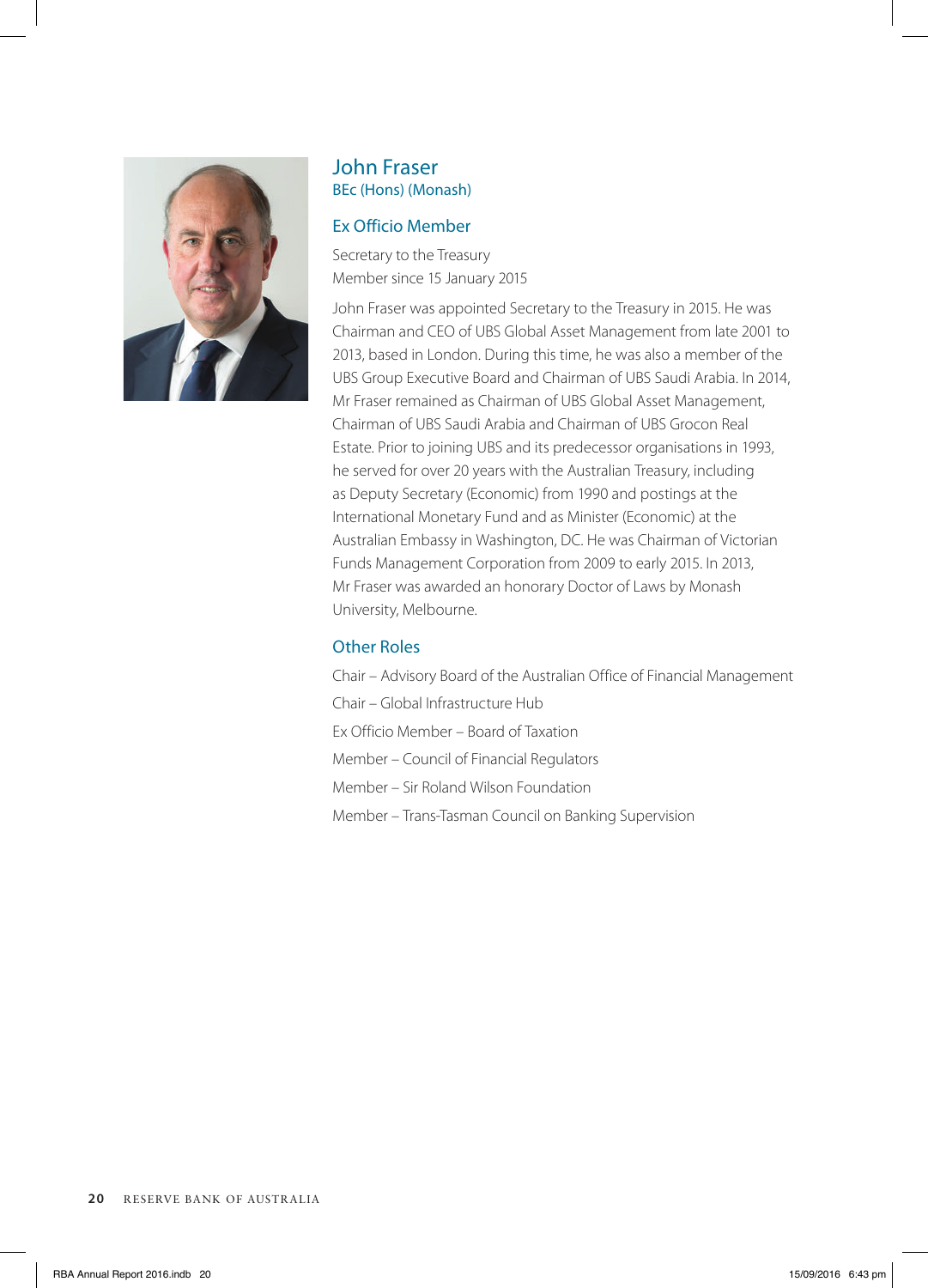

## John Fraser BEc (Hons) (Monash)

#### Ex Officio Member

Secretary to the Treasury Member since 15 January 2015

John Fraser was appointed Secretary to the Treasury in 2015. He was Chairman and CEO of UBS Global Asset Management from late 2001 to 2013, based in London. During this time, he was also a member of the UBS Group Executive Board and Chairman of UBS Saudi Arabia. In 2014, Mr Fraser remained as Chairman of UBS Global Asset Management, Chairman of UBS Saudi Arabia and Chairman of UBS Grocon Real Estate. Prior to joining UBS and its predecessor organisations in 1993, he served for over 20 years with the Australian Treasury, including as Deputy Secretary (Economic) from 1990 and postings at the International Monetary Fund and as Minister (Economic) at the Australian Embassy in Washington, DC. He was Chairman of Victorian Funds Management Corporation from 2009 to early 2015. In 2013, Mr Fraser was awarded an honorary Doctor of Laws by Monash University, Melbourne.

# Other Roles

Chair – Advisory Board of the Australian Office of Financial Management Chair – Global Infrastructure Hub Ex Officio Member – Board of Taxation Member – Council of Financial Regulators Member – Sir Roland Wilson Foundation Member – Trans-Tasman Council on Banking Supervision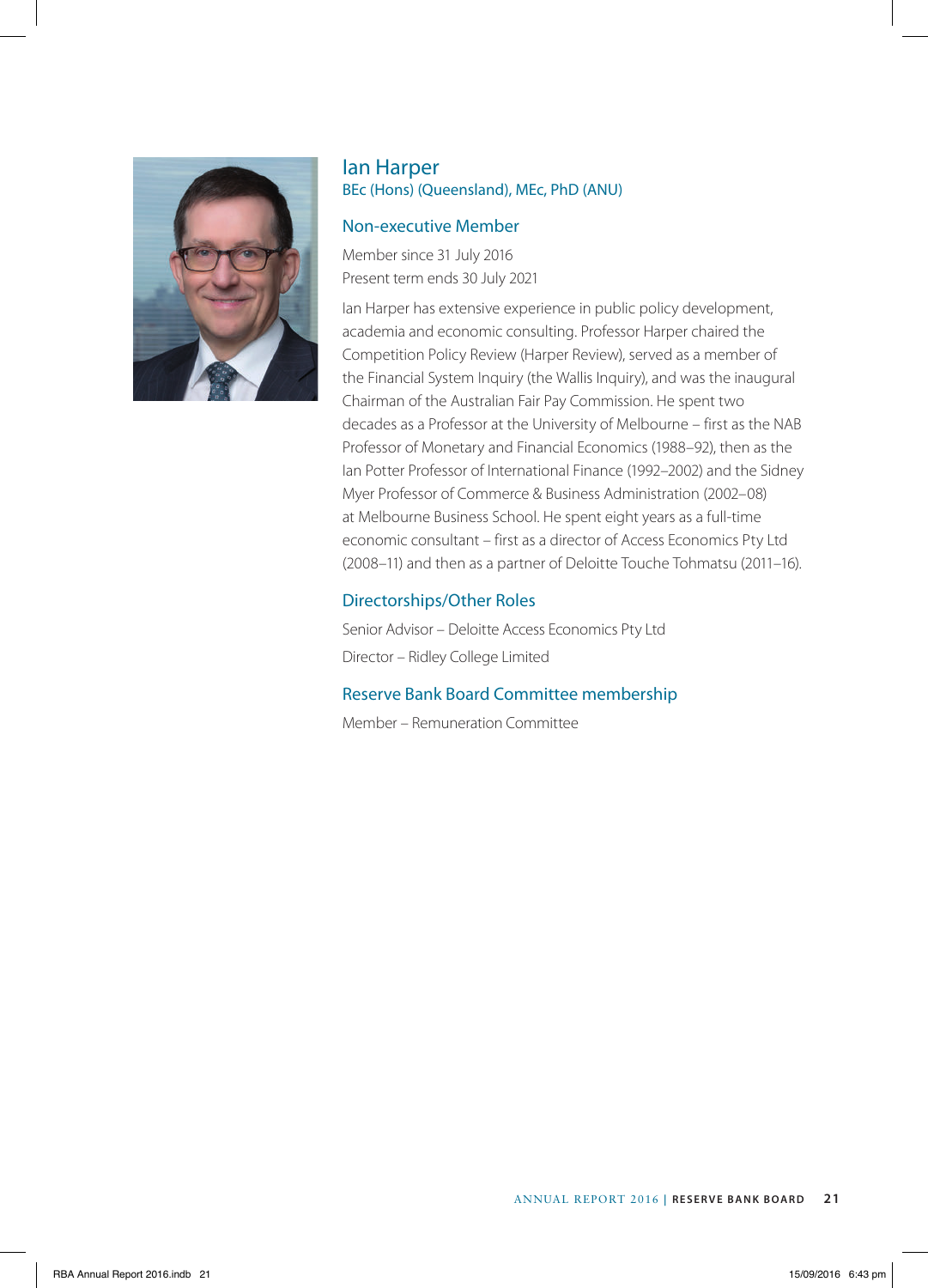

# Ian Harper BEc (Hons) (Queensland), MEc, PhD (ANU)

#### Non-executive Member

Member since 31 July 2016 Present term ends 30 July 2021

Ian Harper has extensive experience in public policy development, academia and economic consulting. Professor Harper chaired the Competition Policy Review (Harper Review), served as a member of the Financial System Inquiry (the Wallis Inquiry), and was the inaugural Chairman of the Australian Fair Pay Commission. He spent two decades as a Professor at the University of Melbourne – first as the NAB Professor of Monetary and Financial Economics (1988–92), then as the Ian Potter Professor of International Finance (1992–2002) and the Sidney Myer Professor of Commerce & Business Administration (2002–08) at Melbourne Business School. He spent eight years as a full-time economic consultant – first as a director of Access Economics Pty Ltd (2008–11) and then as a partner of Deloitte Touche Tohmatsu (2011–16).

## Directorships/Other Roles

Senior Advisor – Deloitte Access Economics Pty Ltd Director – Ridley College Limited

## Reserve Bank Board Committee membership

Member – Remuneration Committee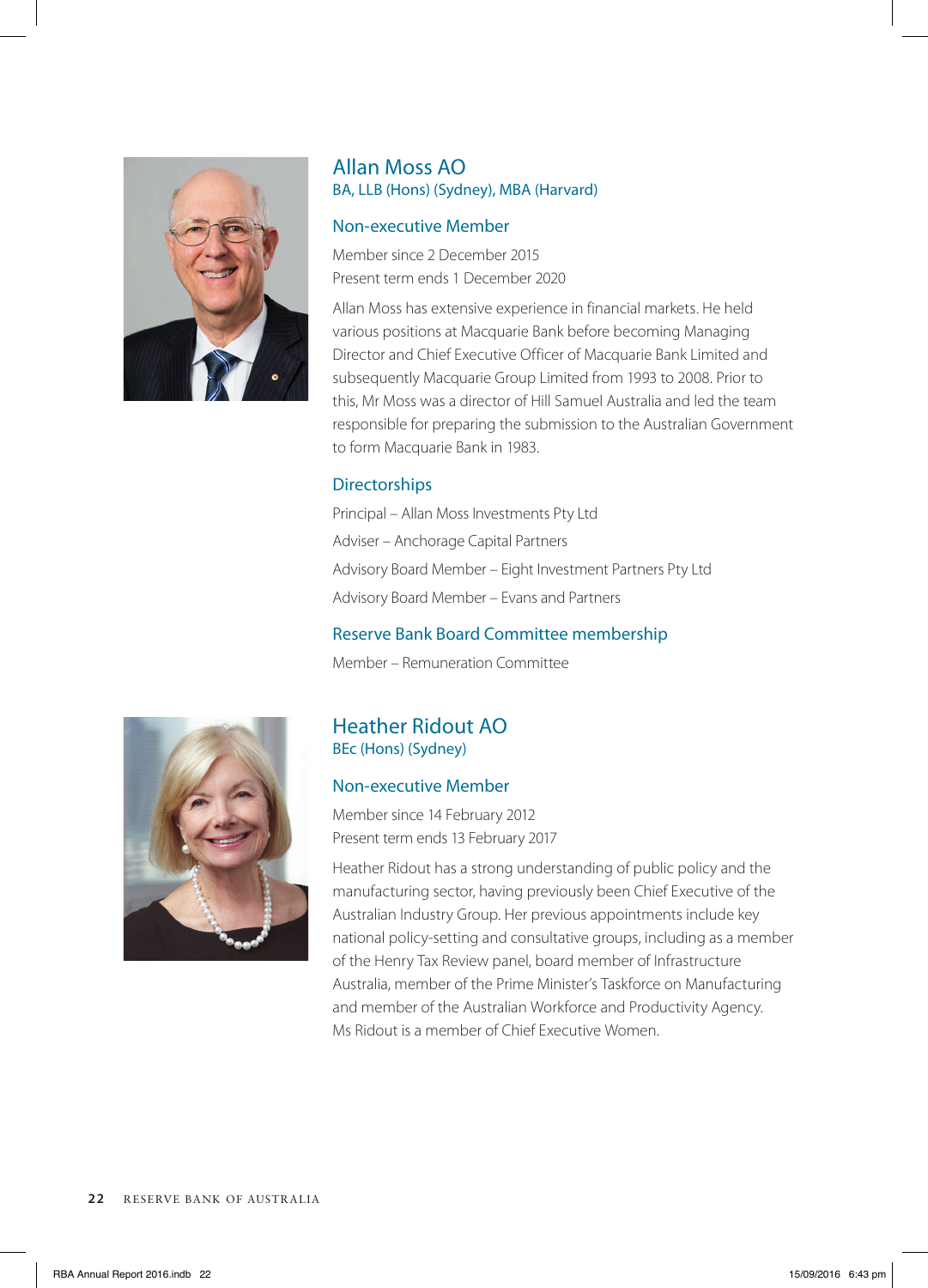

# Allan Moss AO BA, LLB (Hons) (Sydney), MBA (Harvard)

#### Non-executive Member

Member since 2 December 2015 Present term ends 1 December 2020

Allan Moss has extensive experience in financial markets. He held various positions at Macquarie Bank before becoming Managing Director and Chief Executive Officer of Macquarie Bank Limited and subsequently Macquarie Group Limited from 1993 to 2008. Prior to this, Mr Moss was a director of Hill Samuel Australia and led the team responsible for preparing the submission to the Australian Government to form Macquarie Bank in 1983.

## **Directorships**

Principal – Allan Moss Investments Pty Ltd Adviser – Anchorage Capital Partners Advisory Board Member – Eight Investment Partners Pty Ltd Advisory Board Member – Evans and Partners

## Reserve Bank Board Committee membership

Member – Remuneration Committee



# Heather Ridout AO BEc (Hons) (Sydney)

# Non-executive Member

Member since 14 February 2012 Present term ends 13 February 2017

Heather Ridout has a strong understanding of public policy and the manufacturing sector, having previously been Chief Executive of the Australian Industry Group. Her previous appointments include key national policy-setting and consultative groups, including as a member of the Henry Tax Review panel, board member of Infrastructure Australia, member of the Prime Minister's Taskforce on Manufacturing and member of the Australian Workforce and Productivity Agency. Ms Ridout is a member of Chief Executive Women.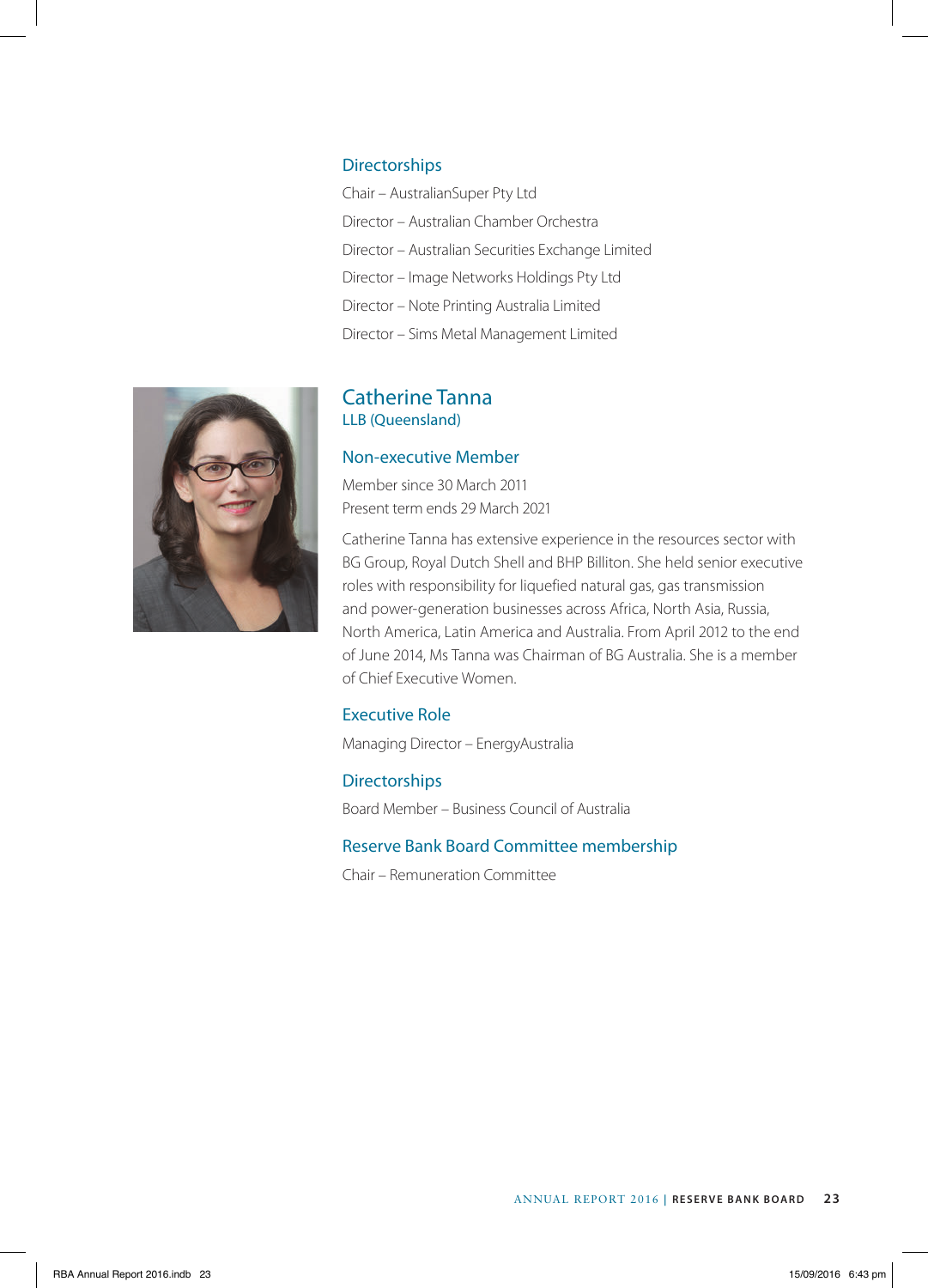#### **Directorships**

Chair – AustralianSuper Pty Ltd Director – Australian Chamber Orchestra Director – Australian Securities Exchange Limited Director – Image Networks Holdings Pty Ltd Director – Note Printing Australia Limited Director – Sims Metal Management Limited



# Catherine Tanna LLB (Queensland)

#### Non-executive Member

Member since 30 March 2011 Present term ends 29 March 2021

Catherine Tanna has extensive experience in the resources sector with BG Group, Royal Dutch Shell and BHP Billiton. She held senior executive roles with responsibility for liquefied natural gas, gas transmission and power-generation businesses across Africa, North Asia, Russia, North America, Latin America and Australia. From April 2012 to the end of June 2014, Ms Tanna was Chairman of BG Australia. She is a member of Chief Executive Women.

## Executive Role

Managing Director – EnergyAustralia

#### **Directorships**

Board Member – Business Council of Australia

## Reserve Bank Board Committee membership

Chair – Remuneration Committee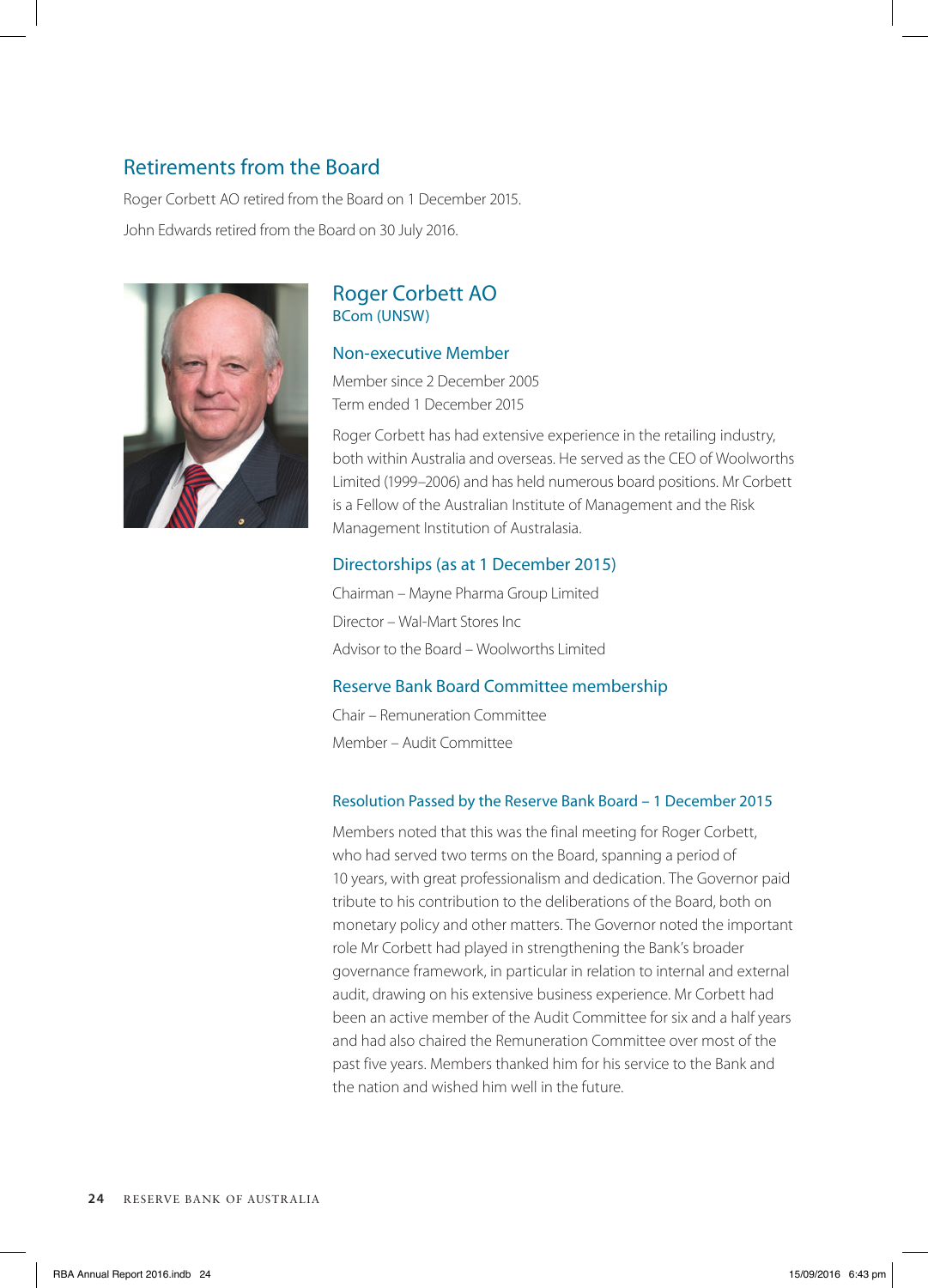# Retirements from the Board

Roger Corbett AO retired from the Board on 1 December 2015. John Edwards retired from the Board on 30 July 2016.



# Roger Corbett AO BCom (UNSW)

#### Non-executive Member

Member since 2 December 2005 Term ended 1 December 2015

Roger Corbett has had extensive experience in the retailing industry, both within Australia and overseas. He served as the CEO of Woolworths Limited (1999–2006) and has held numerous board positions. Mr Corbett is a Fellow of the Australian Institute of Management and the Risk Management Institution of Australasia.

## Directorships (as at 1 December 2015)

Chairman – Mayne Pharma Group Limited Director – Wal-Mart Stores Inc Advisor to the Board – Woolworths Limited

## Reserve Bank Board Committee membership

Chair – Remuneration Committee Member – Audit Committee

## Resolution Passed by the Reserve Bank Board – 1 December 2015

Members noted that this was the final meeting for Roger Corbett, who had served two terms on the Board, spanning a period of 10 years, with great professionalism and dedication. The Governor paid tribute to his contribution to the deliberations of the Board, both on monetary policy and other matters. The Governor noted the important role Mr Corbett had played in strengthening the Bank's broader governance framework, in particular in relation to internal and external audit, drawing on his extensive business experience. Mr Corbett had been an active member of the Audit Committee for six and a half years and had also chaired the Remuneration Committee over most of the past five years. Members thanked him for his service to the Bank and the nation and wished him well in the future.